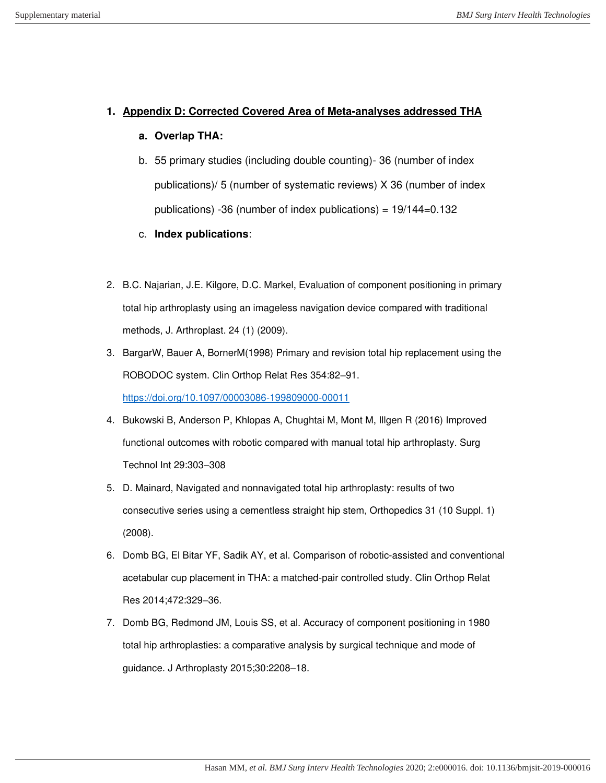## **1. Appendix D: Corrected Covered Area of Meta-analyses addressed THA**

## **a. Overlap THA:**

b. 55 primary studies (including double counting)- 36 (number of index publications)/ 5 (number of systematic reviews) X 36 (number of index publications) -36 (number of index publications) = 19/144=0.132

## c. **Index publications**:

- 2. B.C. Najarian, J.E. Kilgore, D.C. Markel, Evaluation of component positioning in primary total hip arthroplasty using an imageless navigation device compared with traditional methods, J. Arthroplast. 24 (1) (2009).
- 3. BargarW, Bauer A, BornerM(1998) Primary and revision total hip replacement using the ROBODOC system. Clin Orthop Relat Res 354:82–91. <https://doi.org/10.1097/00003086-199809000-00011>
- 4. Bukowski B, Anderson P, Khlopas A, Chughtai M, Mont M, Illgen R (2016) Improved functional outcomes with robotic compared with manual total hip arthroplasty. Surg Technol Int 29:303–308
- 5. D. Mainard, Navigated and nonnavigated total hip arthroplasty: results of two consecutive series using a cementless straight hip stem, Orthopedics 31 (10 Suppl. 1) (2008).
- 6. Domb BG, El Bitar YF, Sadik AY, et al. Comparison of robotic-assisted and conventional acetabular cup placement in THA: a matched-pair controlled study. Clin Orthop Relat Res 2014;472:329–36.
- 7. Domb BG, Redmond JM, Louis SS, et al. Accuracy of component positioning in 1980 total hip arthroplasties: a comparative analysis by surgical technique and mode of guidance. J Arthroplasty 2015;30:2208–18.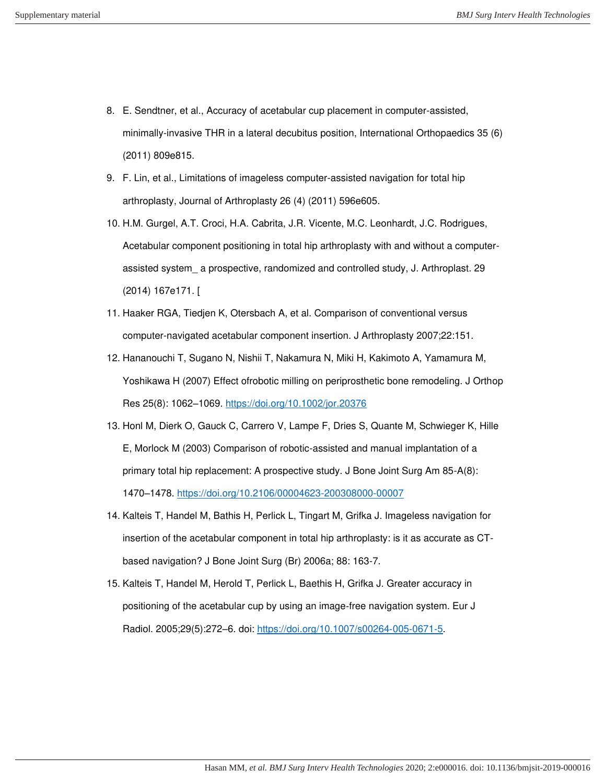- 8. E. Sendtner, et al., Accuracy of acetabular cup placement in computer-assisted, minimally-invasive THR in a lateral decubitus position, International Orthopaedics 35 (6) (2011) 809e815.
- 9. F. Lin, et al., Limitations of imageless computer-assisted navigation for total hip arthroplasty, Journal of Arthroplasty 26 (4) (2011) 596e605.
- 10. H.M. Gurgel, A.T. Croci, H.A. Cabrita, J.R. Vicente, M.C. Leonhardt, J.C. Rodrigues, Acetabular component positioning in total hip arthroplasty with and without a computerassisted system\_ a prospective, randomized and controlled study, J. Arthroplast. 29 (2014) 167e171. [
- 11. Haaker RGA, Tiedjen K, Otersbach A, et al. Comparison of conventional versus computer-navigated acetabular component insertion. J Arthroplasty 2007;22:151.
- 12. Hananouchi T, Sugano N, Nishii T, Nakamura N, Miki H, Kakimoto A, Yamamura M, Yoshikawa H (2007) Effect ofrobotic milling on periprosthetic bone remodeling. J Orthop Res 25(8): 1062–1069.<https://doi.org/10.1002/jor.20376>
- 13. Honl M, Dierk O, Gauck C, Carrero V, Lampe F, Dries S, Quante M, Schwieger K, Hille E, Morlock M (2003) Comparison of robotic-assisted and manual implantation of a primary total hip replacement: A prospective study. J Bone Joint Surg Am 85-A(8): 1470–1478.<https://doi.org/10.2106/00004623-200308000-00007>
- 14. Kalteis T, Handel M, Bathis H, Perlick L, Tingart M, Grifka J. Imageless navigation for insertion of the acetabular component in total hip arthroplasty: is it as accurate as CTbased navigation? J Bone Joint Surg (Br) 2006a; 88: 163-7.
- 15. Kalteis T, Handel M, Herold T, Perlick L, Baethis H, Grifka J. Greater accuracy in positioning of the acetabular cup by using an image‐free navigation system. Eur J Radiol. 2005;29(5):272–6. doi: [https://doi.org/10.1007/s00264](https://doi.org/10.1007/s00264‐005‐0671‐5)‐005‐0671‐5.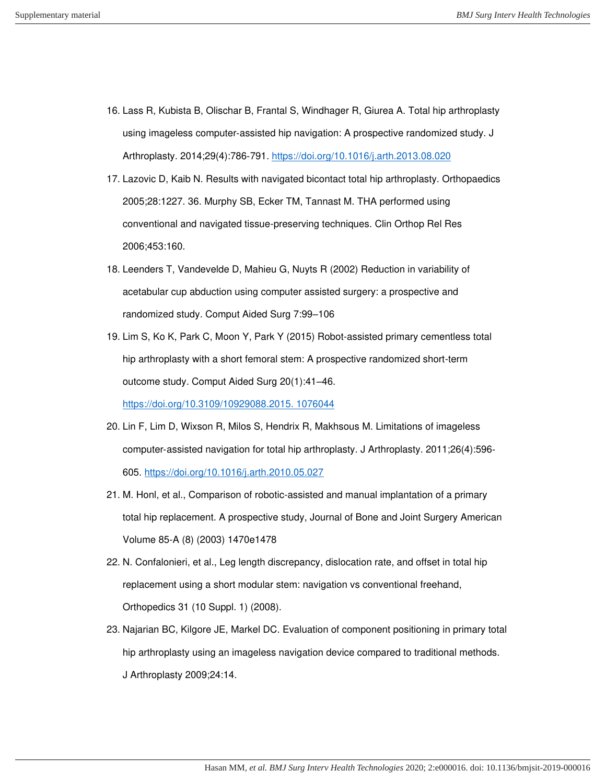- 16. Lass R, Kubista B, Olischar B, Frantal S, Windhager R, Giurea A. Total hip arthroplasty using imageless computer‐assisted hip navigation: A prospective randomized study. J Arthroplasty. 2014;29(4):786‐791.<https://doi.org/10.1016/j.arth.2013.08.020>
- 17. Lazovic D, Kaib N. Results with navigated bicontact total hip arthroplasty. Orthopaedics 2005;28:1227. 36. Murphy SB, Ecker TM, Tannast M. THA performed using conventional and navigated tissue-preserving techniques. Clin Orthop Rel Res 2006;453:160.
- 18. Leenders T, Vandevelde D, Mahieu G, Nuyts R (2002) Reduction in variability of acetabular cup abduction using computer assisted surgery: a prospective and randomized study. Comput Aided Surg 7:99–106
- 19. Lim S, Ko K, Park C, Moon Y, Park Y (2015) Robot-assisted primary cementless total hip arthroplasty with a short femoral stem: A prospective randomized short-term outcome study. Comput Aided Surg 20(1):41–46.

[https://doi.org/10.3109/10929088.2015. 1076044](https://doi.org/10.3109/10929088.2015.%201076044)

- 20. Lin F, Lim D, Wixson R, Milos S, Hendrix R, Makhsous M. Limitations of imageless computer‐assisted navigation for total hip arthroplasty. J Arthroplasty. 2011;26(4):596‐ 605.<https://doi.org/10.1016/j.arth.2010.05.027>
- 21. M. Honl, et al., Comparison of robotic-assisted and manual implantation of a primary total hip replacement. A prospective study, Journal of Bone and Joint Surgery American Volume 85-A (8) (2003) 1470e1478
- 22. N. Confalonieri, et al., Leg length discrepancy, dislocation rate, and offset in total hip replacement using a short modular stem: navigation vs conventional freehand, Orthopedics 31 (10 Suppl. 1) (2008).
- 23. Najarian BC, Kilgore JE, Markel DC. Evaluation of component positioning in primary total hip arthroplasty using an imageless navigation device compared to traditional methods. J Arthroplasty 2009;24:14.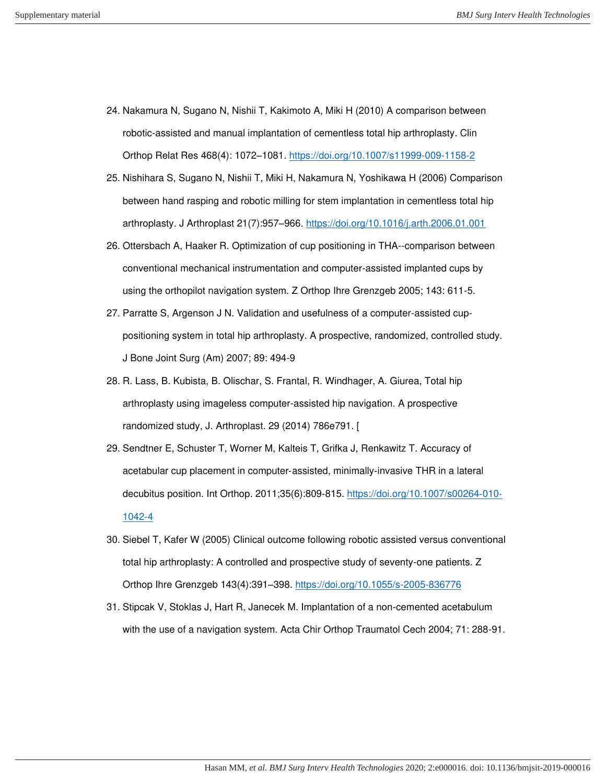- 24. Nakamura N, Sugano N, Nishii T, Kakimoto A, Miki H (2010) A comparison between robotic-assisted and manual implantation of cementless total hip arthroplasty. Clin Orthop Relat Res 468(4): 1072–1081.<https://doi.org/10.1007/s11999-009-1158-2>
- 25. Nishihara S, Sugano N, Nishii T, Miki H, Nakamura N, Yoshikawa H (2006) Comparison between hand rasping and robotic milling for stem implantation in cementless total hip arthroplasty. J Arthroplast 21(7):957–966.<https://doi.org/10.1016/j.arth.2006.01.001>
- 26. Ottersbach A, Haaker R. Optimization of cup positioning in THA--comparison between conventional mechanical instrumentation and computer-assisted implanted cups by using the orthopilot navigation system. Z Orthop Ihre Grenzgeb 2005; 143: 611-5.
- 27. Parratte S, Argenson J N. Validation and usefulness of a computer-assisted cuppositioning system in total hip arthroplasty. A prospective, randomized, controlled study. J Bone Joint Surg (Am) 2007; 89: 494-9
- 28. R. Lass, B. Kubista, B. Olischar, S. Frantal, R. Windhager, A. Giurea, Total hip arthroplasty using imageless computer-assisted hip navigation. A prospective randomized study, J. Arthroplast. 29 (2014) 786e791. [
- 29. Sendtner E, Schuster T, Worner M, Kalteis T, Grifka J, Renkawitz T. Accuracy of acetabular cup placement in computer‐assisted, minimally‐invasive THR in a lateral decubitus position. Int Orthop. 2011;35(6):809‐815. [https://doi.org/10.1007/s00264](https://doi.org/10.1007/s00264‐010‐1042‐4)‐010‐ [1042](https://doi.org/10.1007/s00264‐010‐1042‐4)‐4
- 30. Siebel T, Kafer W (2005) Clinical outcome following robotic assisted versus conventional total hip arthroplasty: A controlled and prospective study of seventy-one patients. Z Orthop Ihre Grenzgeb 143(4):391–398.<https://doi.org/10.1055/s-2005-836776>
- 31. Stipcak V, Stoklas J, Hart R, Janecek M. Implantation of a non-cemented acetabulum with the use of a navigation system. Acta Chir Orthop Traumatol Cech 2004; 71: 288-91.